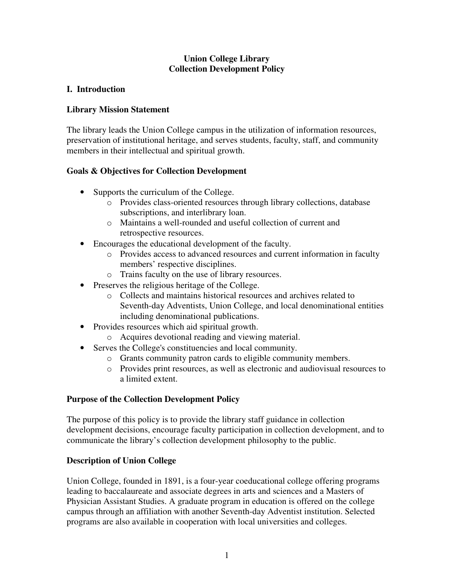## **Union College Library Collection Development Policy**

# **I. Introduction**

## **Library Mission Statement**

The library leads the Union College campus in the utilization of information resources, preservation of institutional heritage, and serves students, faculty, staff, and community members in their intellectual and spiritual growth.

# **Goals & Objectives for Collection Development**

- Supports the curriculum of the College.
	- o Provides class-oriented resources through library collections, database subscriptions, and interlibrary loan.
	- o Maintains a well-rounded and useful collection of current and retrospective resources.
- Encourages the educational development of the faculty.
	- o Provides access to advanced resources and current information in faculty members' respective disciplines.
	- o Trains faculty on the use of library resources.
- Preserves the religious heritage of the College.
	- o Collects and maintains historical resources and archives related to Seventh-day Adventists, Union College, and local denominational entities including denominational publications.
- Provides resources which aid spiritual growth.
	- o Acquires devotional reading and viewing material.
- Serves the College's constituencies and local community.
	- o Grants community patron cards to eligible community members.
	- o Provides print resources, as well as electronic and audiovisual resources to a limited extent.

## **Purpose of the Collection Development Policy**

The purpose of this policy is to provide the library staff guidance in collection development decisions, encourage faculty participation in collection development, and to communicate the library's collection development philosophy to the public.

# **Description of Union College**

Union College, founded in 1891, is a four-year coeducational college offering programs leading to baccalaureate and associate degrees in arts and sciences and a Masters of Physician Assistant Studies. A graduate program in education is offered on the college campus through an affiliation with another Seventh-day Adventist institution. Selected programs are also available in cooperation with local universities and colleges.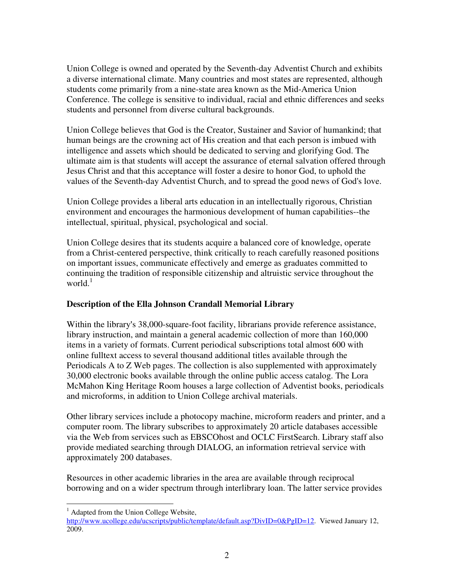Union College is owned and operated by the Seventh-day Adventist Church and exhibits a diverse international climate. Many countries and most states are represented, although students come primarily from a nine-state area known as the Mid-America Union Conference. The college is sensitive to individual, racial and ethnic differences and seeks students and personnel from diverse cultural backgrounds.

Union College believes that God is the Creator, Sustainer and Savior of humankind; that human beings are the crowning act of His creation and that each person is imbued with intelligence and assets which should be dedicated to serving and glorifying God. The ultimate aim is that students will accept the assurance of eternal salvation offered through Jesus Christ and that this acceptance will foster a desire to honor God, to uphold the values of the Seventh-day Adventist Church, and to spread the good news of God's love.

Union College provides a liberal arts education in an intellectually rigorous, Christian environment and encourages the harmonious development of human capabilities--the intellectual, spiritual, physical, psychological and social.

Union College desires that its students acquire a balanced core of knowledge, operate from a Christ-centered perspective, think critically to reach carefully reasoned positions on important issues, communicate effectively and emerge as graduates committed to continuing the tradition of responsible citizenship and altruistic service throughout the world. $<sup>1</sup>$ </sup>

## **Description of the Ella Johnson Crandall Memorial Library**

Within the library's 38,000-square-foot facility, librarians provide reference assistance, library instruction, and maintain a general academic collection of more than 160,000 items in a variety of formats. Current periodical subscriptions total almost 600 with online fulltext access to several thousand additional titles available through the Periodicals A to Z Web pages. The collection is also supplemented with approximately 30,000 electronic books available through the online public access catalog. The Lora McMahon King Heritage Room houses a large collection of Adventist books, periodicals and microforms, in addition to Union College archival materials.

Other library services include a photocopy machine, microform readers and printer, and a computer room. The library subscribes to approximately 20 article databases accessible via the Web from services such as EBSCOhost and OCLC FirstSearch. Library staff also provide mediated searching through DIALOG, an information retrieval service with approximately 200 databases.

Resources in other academic libraries in the area are available through reciprocal borrowing and on a wider spectrum through interlibrary loan. The latter service provides

 $\overline{a}$ <sup>1</sup> Adapted from the Union College Website,

http://www.ucollege.edu/ucscripts/public/template/default.asp?DivID=0&PgID=12. Viewed January 12, 2009.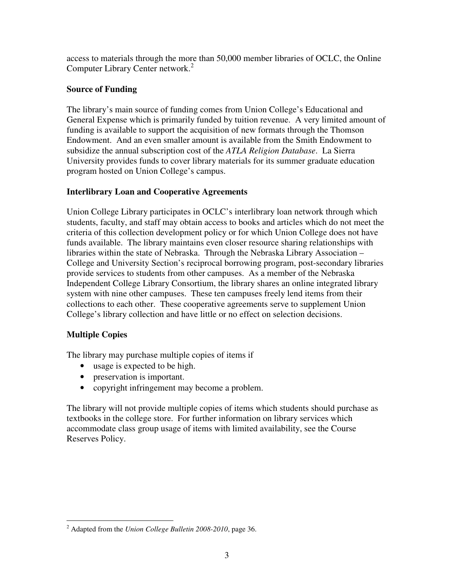access to materials through the more than 50,000 member libraries of OCLC, the Online Computer Library Center network.<sup>2</sup>

# **Source of Funding**

The library's main source of funding comes from Union College's Educational and General Expense which is primarily funded by tuition revenue. A very limited amount of funding is available to support the acquisition of new formats through the Thomson Endowment. And an even smaller amount is available from the Smith Endowment to subsidize the annual subscription cost of the *ATLA Religion Database*. La Sierra University provides funds to cover library materials for its summer graduate education program hosted on Union College's campus.

# **Interlibrary Loan and Cooperative Agreements**

Union College Library participates in OCLC's interlibrary loan network through which students, faculty, and staff may obtain access to books and articles which do not meet the criteria of this collection development policy or for which Union College does not have funds available. The library maintains even closer resource sharing relationships with libraries within the state of Nebraska. Through the Nebraska Library Association – College and University Section's reciprocal borrowing program, post-secondary libraries provide services to students from other campuses. As a member of the Nebraska Independent College Library Consortium, the library shares an online integrated library system with nine other campuses. These ten campuses freely lend items from their collections to each other. These cooperative agreements serve to supplement Union College's library collection and have little or no effect on selection decisions.

# **Multiple Copies**

The library may purchase multiple copies of items if

- usage is expected to be high.
- preservation is important.
- copyright infringement may become a problem.

The library will not provide multiple copies of items which students should purchase as textbooks in the college store. For further information on library services which accommodate class group usage of items with limited availability, see the Course Reserves Policy.

 $\overline{a}$ 2 Adapted from the *Union College Bulletin 2008-2010*, page 36.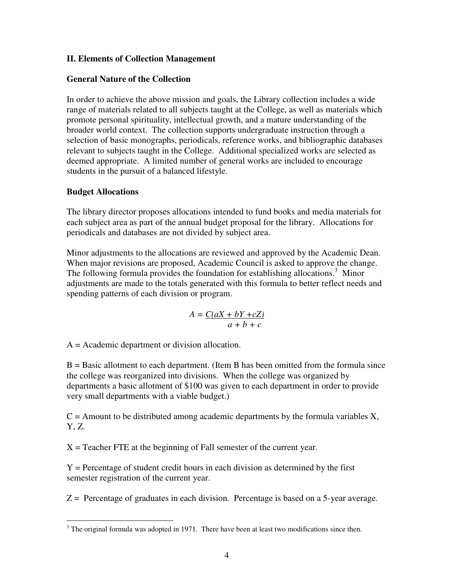#### **II. Elements of Collection Management**

#### **General Nature of the Collection**

In order to achieve the above mission and goals, the Library collection includes a wide range of materials related to all subjects taught at the College, as well as materials which promote personal spirituality, intellectual growth, and a mature understanding of the broader world context. The collection supports undergraduate instruction through a selection of basic monographs, periodicals, reference works, and bibliographic databases relevant to subjects taught in the College. Additional specialized works are selected as deemed appropriate. A limited number of general works are included to encourage students in the pursuit of a balanced lifestyle.

#### **Budget Allocations**

The library director proposes allocations intended to fund books and media materials for each subject area as part of the annual budget proposal for the library. Allocations for periodicals and databases are not divided by subject area.

Minor adjustments to the allocations are reviewed and approved by the Academic Dean. When major revisions are proposed, Academic Council is asked to approve the change. The following formula provides the foundation for establishing allocations.<sup>3</sup> Minor adjustments are made to the totals generated with this formula to better reflect needs and spending patterns of each division or program.

$$
A = \frac{C(aX + bY + cZ)}{a + b + c}
$$

A = Academic department or division allocation.

 $B =$  Basic allotment to each department. (Item B has been omitted from the formula since the college was reorganized into divisions. When the college was organized by departments a basic allotment of \$100 was given to each department in order to provide very small departments with a viable budget.)

 $C =$  Amount to be distributed among academic departments by the formula variables  $X$ , Y, Z.

 $X =$  Teacher FTE at the beginning of Fall semester of the current year.

 $Y =$  Percentage of student credit hours in each division as determined by the first semester registration of the current year.

 $Z =$  Percentage of graduates in each division. Percentage is based on a 5-year average.

 $\overline{a}$  $3$  The original formula was adopted in 1971. There have been at least two modifications since then.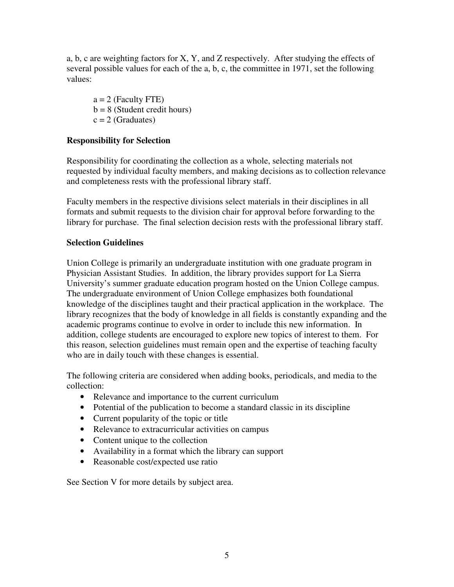a, b, c are weighting factors for X, Y, and Z respectively. After studying the effects of several possible values for each of the a, b, c, the committee in 1971, set the following values:

 $a = 2$  (Faculty FTE)  $b = 8$  (Student credit hours)  $c = 2$  (Graduates)

## **Responsibility for Selection**

Responsibility for coordinating the collection as a whole, selecting materials not requested by individual faculty members, and making decisions as to collection relevance and completeness rests with the professional library staff.

Faculty members in the respective divisions select materials in their disciplines in all formats and submit requests to the division chair for approval before forwarding to the library for purchase. The final selection decision rests with the professional library staff.

## **Selection Guidelines**

Union College is primarily an undergraduate institution with one graduate program in Physician Assistant Studies. In addition, the library provides support for La Sierra University's summer graduate education program hosted on the Union College campus. The undergraduate environment of Union College emphasizes both foundational knowledge of the disciplines taught and their practical application in the workplace. The library recognizes that the body of knowledge in all fields is constantly expanding and the academic programs continue to evolve in order to include this new information. In addition, college students are encouraged to explore new topics of interest to them. For this reason, selection guidelines must remain open and the expertise of teaching faculty who are in daily touch with these changes is essential.

The following criteria are considered when adding books, periodicals, and media to the collection:

- Relevance and importance to the current curriculum
- Potential of the publication to become a standard classic in its discipline
- Current popularity of the topic or title
- Relevance to extracurricular activities on campus
- Content unique to the collection
- Availability in a format which the library can support
- Reasonable cost/expected use ratio

See Section V for more details by subject area.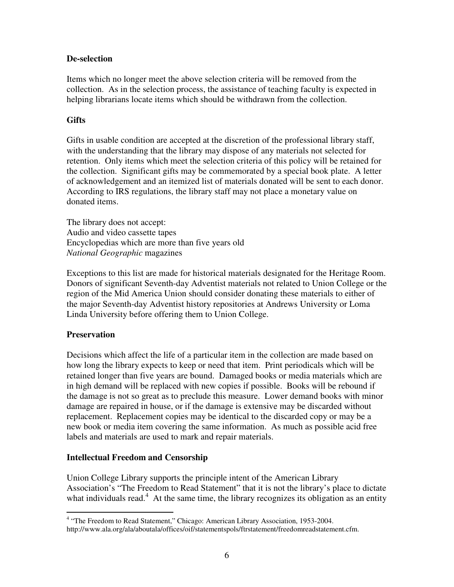#### **De-selection**

Items which no longer meet the above selection criteria will be removed from the collection. As in the selection process, the assistance of teaching faculty is expected in helping librarians locate items which should be withdrawn from the collection.

#### **Gifts**

Gifts in usable condition are accepted at the discretion of the professional library staff, with the understanding that the library may dispose of any materials not selected for retention. Only items which meet the selection criteria of this policy will be retained for the collection. Significant gifts may be commemorated by a special book plate. A letter of acknowledgement and an itemized list of materials donated will be sent to each donor. According to IRS regulations, the library staff may not place a monetary value on donated items.

The library does not accept: Audio and video cassette tapes Encyclopedias which are more than five years old *National Geographic* magazines

Exceptions to this list are made for historical materials designated for the Heritage Room. Donors of significant Seventh-day Adventist materials not related to Union College or the region of the Mid America Union should consider donating these materials to either of the major Seventh-day Adventist history repositories at Andrews University or Loma Linda University before offering them to Union College.

#### **Preservation**

Decisions which affect the life of a particular item in the collection are made based on how long the library expects to keep or need that item. Print periodicals which will be retained longer than five years are bound. Damaged books or media materials which are in high demand will be replaced with new copies if possible. Books will be rebound if the damage is not so great as to preclude this measure. Lower demand books with minor damage are repaired in house, or if the damage is extensive may be discarded without replacement. Replacement copies may be identical to the discarded copy or may be a new book or media item covering the same information. As much as possible acid free labels and materials are used to mark and repair materials.

## **Intellectual Freedom and Censorship**

Union College Library supports the principle intent of the American Library Association's "The Freedom to Read Statement" that it is not the library's place to dictate what individuals read.<sup>4</sup> At the same time, the library recognizes its obligation as an entity

 4 "The Freedom to Read Statement," Chicago: American Library Association, 1953-2004.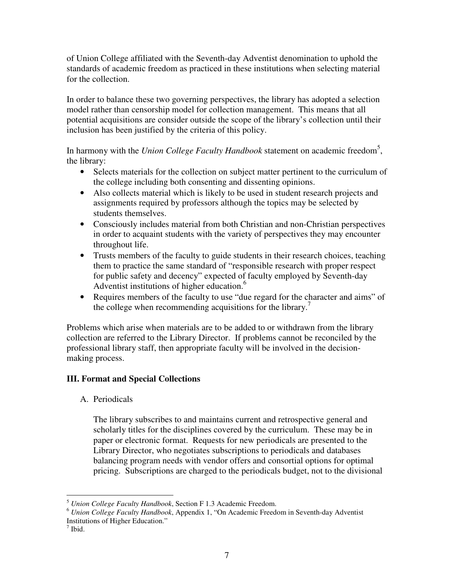of Union College affiliated with the Seventh-day Adventist denomination to uphold the standards of academic freedom as practiced in these institutions when selecting material for the collection.

In order to balance these two governing perspectives, the library has adopted a selection model rather than censorship model for collection management. This means that all potential acquisitions are consider outside the scope of the library's collection until their inclusion has been justified by the criteria of this policy.

In harmony with the *Union College Faculty Handbook* statement on academic freedom<sup>5</sup>, the library:

- Selects materials for the collection on subject matter pertinent to the curriculum of the college including both consenting and dissenting opinions.
- Also collects material which is likely to be used in student research projects and assignments required by professors although the topics may be selected by students themselves.
- Consciously includes material from both Christian and non-Christian perspectives in order to acquaint students with the variety of perspectives they may encounter throughout life.
- Trusts members of the faculty to guide students in their research choices, teaching them to practice the same standard of "responsible research with proper respect for public safety and decency" expected of faculty employed by Seventh-day Adventist institutions of higher education.<sup>6</sup>
- Requires members of the faculty to use "due regard for the character and aims" of the college when recommending acquisitions for the library.<sup>7</sup>

Problems which arise when materials are to be added to or withdrawn from the library collection are referred to the Library Director. If problems cannot be reconciled by the professional library staff, then appropriate faculty will be involved in the decisionmaking process.

## **III. Format and Special Collections**

A. Periodicals

The library subscribes to and maintains current and retrospective general and scholarly titles for the disciplines covered by the curriculum. These may be in paper or electronic format. Requests for new periodicals are presented to the Library Director, who negotiates subscriptions to periodicals and databases balancing program needs with vendor offers and consortial options for optimal pricing. Subscriptions are charged to the periodicals budget, not to the divisional

 $\overline{a}$ <sup>5</sup> *Union College Faculty Handbook*, Section F 1.3 Academic Freedom.

<sup>6</sup> *Union College Faculty Handbook*, Appendix 1, "On Academic Freedom in Seventh-day Adventist Institutions of Higher Education."

<sup>7</sup> Ibid.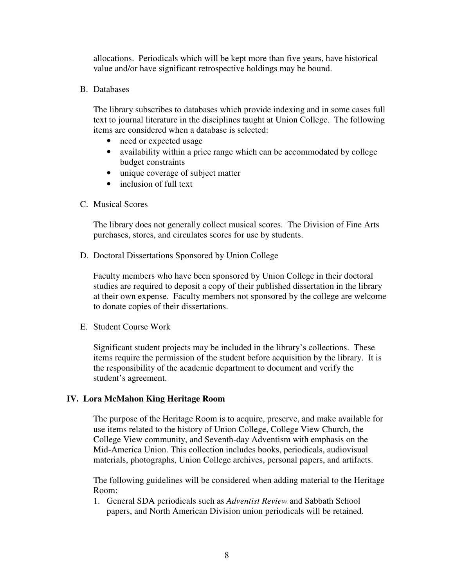allocations. Periodicals which will be kept more than five years, have historical value and/or have significant retrospective holdings may be bound.

B. Databases

The library subscribes to databases which provide indexing and in some cases full text to journal literature in the disciplines taught at Union College. The following items are considered when a database is selected:

- need or expected usage
- availability within a price range which can be accommodated by college budget constraints
- unique coverage of subject matter
- inclusion of full text
- C. Musical Scores

The library does not generally collect musical scores. The Division of Fine Arts purchases, stores, and circulates scores for use by students.

D. Doctoral Dissertations Sponsored by Union College

Faculty members who have been sponsored by Union College in their doctoral studies are required to deposit a copy of their published dissertation in the library at their own expense. Faculty members not sponsored by the college are welcome to donate copies of their dissertations.

E. Student Course Work

Significant student projects may be included in the library's collections. These items require the permission of the student before acquisition by the library. It is the responsibility of the academic department to document and verify the student's agreement.

#### **IV. Lora McMahon King Heritage Room**

The purpose of the Heritage Room is to acquire, preserve, and make available for use items related to the history of Union College, College View Church, the College View community, and Seventh-day Adventism with emphasis on the Mid-America Union. This collection includes books, periodicals, audiovisual materials, photographs, Union College archives, personal papers, and artifacts.

The following guidelines will be considered when adding material to the Heritage Room:

1. General SDA periodicals such as *Adventist Review* and Sabbath School papers, and North American Division union periodicals will be retained.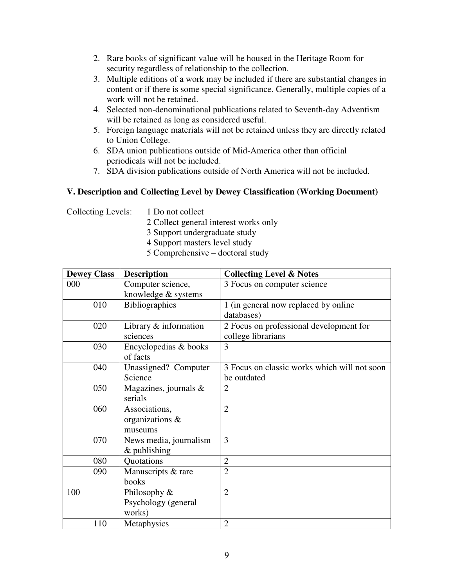- 2. Rare books of significant value will be housed in the Heritage Room for security regardless of relationship to the collection.
- 3. Multiple editions of a work may be included if there are substantial changes in content or if there is some special significance. Generally, multiple copies of a work will not be retained.
- 4. Selected non-denominational publications related to Seventh-day Adventism will be retained as long as considered useful.
- 5. Foreign language materials will not be retained unless they are directly related to Union College.
- 6. SDA union publications outside of Mid-America other than official periodicals will not be included.
- 7. SDA division publications outside of North America will not be included.

# **V. Description and Collecting Level by Dewey Classification (Working Document)**

Collecting Levels: 1 Do not collect

- 2 Collect general interest works only
- 3 Support undergraduate study
- 4 Support masters level study
- 5 Comprehensive doctoral study

| <b>Dewey Class</b> | <b>Description</b>       | <b>Collecting Level &amp; Notes</b>          |
|--------------------|--------------------------|----------------------------------------------|
| 000                | Computer science,        | 3 Focus on computer science                  |
|                    | knowledge & systems      |                                              |
| 010                | <b>Bibliographies</b>    | 1 (in general now replaced by online)        |
|                    |                          | databases)                                   |
| 020                | Library $&$ information  | 2 Focus on professional development for      |
|                    | sciences                 | college librarians                           |
| 030                | Encyclopedias & books    | 3                                            |
|                    | of facts                 |                                              |
| 040                | Unassigned? Computer     | 3 Focus on classic works which will not soon |
|                    | Science                  | be outdated                                  |
| 050                | Magazines, journals $\&$ | $\overline{2}$                               |
|                    | serials                  |                                              |
| 060                | Associations,            | $\overline{2}$                               |
|                    | organizations &          |                                              |
|                    | museums                  |                                              |
| 070                | News media, journalism   | 3                                            |
|                    | $&$ publishing           |                                              |
| 080                | Quotations               | $\overline{2}$                               |
| 090                | Manuscripts & rare       | $\overline{2}$                               |
|                    | books                    |                                              |
| 100                | Philosophy &             | $\overline{2}$                               |
|                    | Psychology (general      |                                              |
|                    | works)                   |                                              |
| 110                | Metaphysics              | $\overline{2}$                               |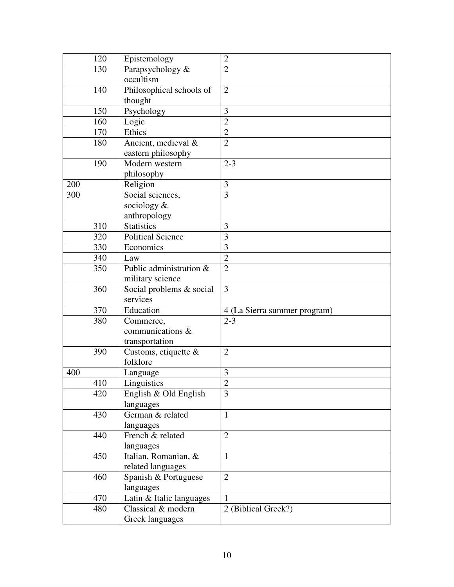| 120 | Epistemology             | $\overline{2}$               |
|-----|--------------------------|------------------------------|
| 130 | Parapsychology &         | $\overline{2}$               |
|     | occultism                |                              |
| 140 | Philosophical schools of | $\overline{2}$               |
|     | thought                  |                              |
| 150 | Psychology               | 3                            |
| 160 | Logic                    | $\overline{2}$               |
| 170 | Ethics                   | $\overline{2}$               |
| 180 | Ancient, medieval &      | $\overline{2}$               |
|     | eastern philosophy       |                              |
| 190 | Modern western           | $2 - 3$                      |
|     | philosophy               |                              |
| 200 | Religion                 | 3                            |
| 300 | Social sciences,         | $\overline{3}$               |
|     | sociology &              |                              |
|     | anthropology             |                              |
| 310 | <b>Statistics</b>        | 3                            |
| 320 | <b>Political Science</b> | $\overline{3}$               |
| 330 | Economics                | $\overline{3}$               |
| 340 | Law                      | $\overline{2}$               |
| 350 | Public administration &  | $\overline{2}$               |
|     | military science         |                              |
| 360 | Social problems & social | 3                            |
|     | services                 |                              |
| 370 | Education                | 4 (La Sierra summer program) |
| 380 | Commerce,                | $2 - 3$                      |
|     | communications &         |                              |
|     | transportation           |                              |
| 390 | Customs, etiquette &     | $\overline{2}$               |
|     | folklore                 |                              |
| 400 | Language                 | 3                            |
| 410 | Linguistics              | $\overline{2}$               |
| 420 | English & Old English    | 3                            |
|     | languages                |                              |
| 430 | German & related         | $\mathbf{1}$                 |
|     | languages                |                              |
| 440 | French & related         | $\overline{2}$               |
|     | languages                |                              |
| 450 | Italian, Romanian, &     | $\mathbf{1}$                 |
|     | related languages        |                              |
| 460 | Spanish & Portuguese     | $\overline{2}$               |
|     | languages                |                              |
| 470 | Latin & Italic languages | $\mathbf{1}$                 |
| 480 | Classical & modern       | 2 (Biblical Greek?)          |
|     | Greek languages          |                              |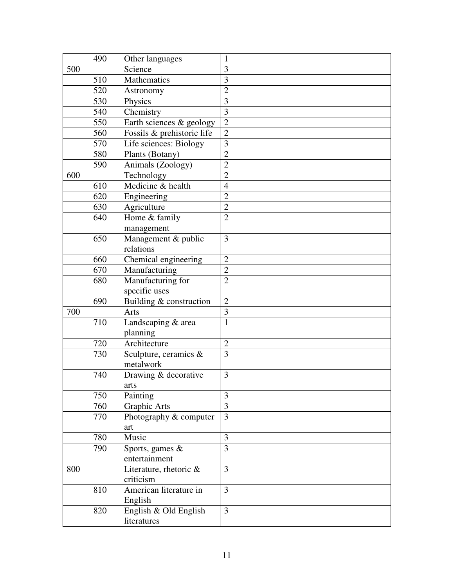|     | 490 | Other languages            | 1                       |
|-----|-----|----------------------------|-------------------------|
| 500 |     | Science                    | 3                       |
|     | 510 | Mathematics                | 3                       |
|     | 520 | Astronomy                  | $\overline{2}$          |
|     | 530 | Physics                    | 3                       |
|     | 540 | Chemistry                  | $\overline{3}$          |
|     | 550 | Earth sciences & geology   | $\overline{2}$          |
|     | 560 | Fossils & prehistoric life | $\overline{2}$          |
|     | 570 | Life sciences: Biology     | $\overline{\mathbf{3}}$ |
|     | 580 | Plants (Botany)            | $\overline{2}$          |
|     | 590 | Animals (Zoology)          | $\overline{2}$          |
| 600 |     | Technology                 | $\overline{2}$          |
|     | 610 | Medicine & health          | $\overline{4}$          |
|     | 620 | Engineering                | $\overline{2}$          |
|     | 630 | Agriculture                | $\overline{2}$          |
|     | 640 | Home & family              | $\overline{2}$          |
|     |     | management                 |                         |
|     | 650 | Management & public        | 3                       |
|     |     | relations                  |                         |
|     | 660 | Chemical engineering       | $\overline{2}$          |
|     | 670 | Manufacturing              | $\overline{2}$          |
|     | 680 | Manufacturing for          | $\overline{2}$          |
|     |     | specific uses              |                         |
|     | 690 | Building & construction    | $\overline{2}$          |
| 700 |     | Arts                       | $\overline{3}$          |
|     | 710 | Landscaping & area         | $\overline{1}$          |
|     |     | planning                   |                         |
|     | 720 | Architecture               | $\overline{2}$          |
|     | 730 | Sculpture, ceramics &      | 3                       |
|     |     | metalwork                  |                         |
|     | 740 | Drawing & decorative       | 3                       |
|     |     | arts                       |                         |
|     | 750 | Painting                   | 3                       |
|     | 760 | Graphic Arts               | 3                       |
|     | 770 | Photography & computer     | 3                       |
|     |     | art                        |                         |
|     | 780 | Music                      | 3                       |
|     | 790 | Sports, games &            | $\overline{3}$          |
|     |     | entertainment              |                         |
| 800 |     | Literature, rhetoric $\&$  | 3                       |
|     |     | criticism                  |                         |
|     | 810 | American literature in     | 3                       |
|     |     | English                    |                         |
|     | 820 | English & Old English      | 3                       |
|     |     | literatures                |                         |